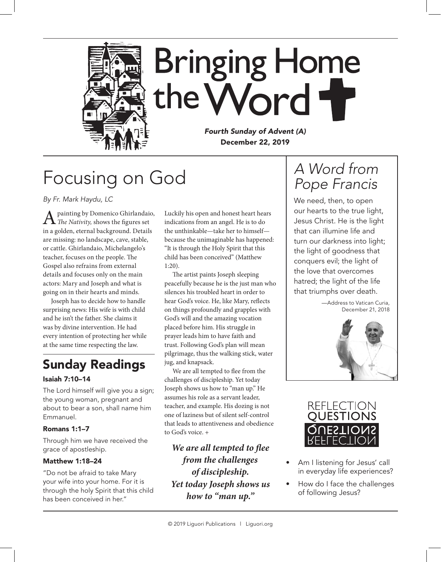

## Focusing on God

*By Fr. Mark Haydu, LC*

A painting by Domenico Ghirlandaio, *The Nativity,* shows the figures set in a golden, eternal background. Details are missing: no landscape, cave, stable, or cattle. Ghirlandaio, Michelangelo's teacher, focuses on the people. The Gospel also refrains from external details and focuses only on the main actors: Mary and Joseph and what is going on in their hearts and minds.

Joseph has to decide how to handle surprising news: His wife is with child and he isn't the father. She claims it was by divine intervention. He had every intention of protecting her while at the same time respecting the law.

### Sunday Readings

#### Isaiah 7:10–14

The Lord himself will give you a sign; the young woman, pregnant and about to bear a son, shall name him Emmanuel.

#### Romans 1:1–7

Through him we have received the grace of apostleship.

#### Matthew 1:18–24

"Do not be afraid to take Mary your wife into your home. For it is through the holy Spirit that this child has been conceived in her."

Luckily his open and honest heart hears indications from an angel. He is to do the unthinkable—take her to himself because the unimaginable has happened: "It is through the Holy Spirit that this child has been conceived" (Matthew 1:20).

The artist paints Joseph sleeping peacefully because he is the just man who silences his troubled heart in order to hear God's voice. He, like Mary, reflects on things profoundly and grapples with God's will and the amazing vocation placed before him. His struggle in prayer leads him to have faith and trust. Following God's plan will mean pilgrimage, thus the walking stick, water jug, and knapsack.

We are all tempted to flee from the challenges of discipleship. Yet today Joseph shows us how to "man up." He assumes his role as a servant leader, teacher, and example. His dozing is not one of laziness but of silent self-control that leads to attentiveness and obedience to God's voice. +

*We are all tempted to flee from the challenges of discipleship. Yet today Joseph shows us how to "man up."*

## *A Word from Pope Francis*

We need, then, to open our hearts to the true light, Jesus Christ. He is the light that can illumine life and turn our darkness into light; the light of goodness that conquers evil; the light of the love that overcomes hatred; the light of the life that triumphs over death.

> —Address to Vatican Curia, December 21, 2018





- Am I listening for Jesus' call in everyday life experiences?
- How do I face the challenges of following Jesus?